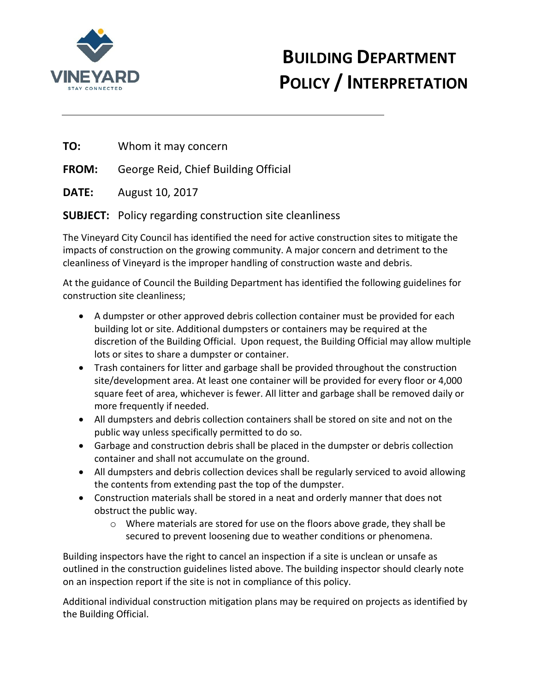

## **BUILDING DEPARTMENT POLICY / INTERPRETATION**

**TO:** Whom it may concern

**FROM:** George Reid, Chief Building Official

**DATE:** August 10, 2017

## **SUBJECT:** Policy regarding construction site cleanliness

The Vineyard City Council has identified the need for active construction sites to mitigate the impacts of construction on the growing community. A major concern and detriment to the cleanliness of Vineyard is the improper handling of construction waste and debris.

At the guidance of Council the Building Department has identified the following guidelines for construction site cleanliness;

- A dumpster or other approved debris collection container must be provided for each building lot or site. Additional dumpsters or containers may be required at the discretion of the Building Official. Upon request, the Building Official may allow multiple lots or sites to share a dumpster or container.
- Trash containers for litter and garbage shall be provided throughout the construction site/development area. At least one container will be provided for every floor or 4,000 square feet of area, whichever is fewer. All litter and garbage shall be removed daily or more frequently if needed.
- All dumpsters and debris collection containers shall be stored on site and not on the public way unless specifically permitted to do so.
- Garbage and construction debris shall be placed in the dumpster or debris collection container and shall not accumulate on the ground.
- All dumpsters and debris collection devices shall be regularly serviced to avoid allowing the contents from extending past the top of the dumpster.
- Construction materials shall be stored in a neat and orderly manner that does not obstruct the public way.
	- o Where materials are stored for use on the floors above grade, they shall be secured to prevent loosening due to weather conditions or phenomena.

Building inspectors have the right to cancel an inspection if a site is unclean or unsafe as outlined in the construction guidelines listed above. The building inspector should clearly note on an inspection report if the site is not in compliance of this policy.

Additional individual construction mitigation plans may be required on projects as identified by the Building Official.